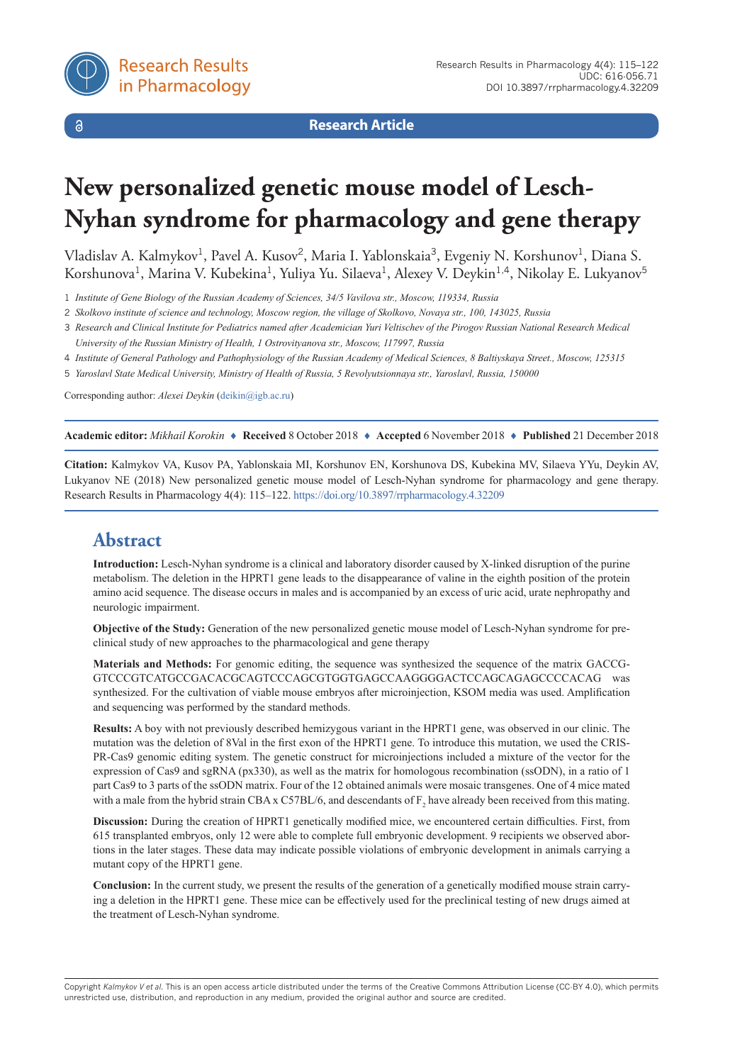

 $\delta$ 

**Research Article**

# **New personalized genetic mouse model of Lesch-Nyhan syndrome for pharmacology and gene therapy**

Vladislav A. Kalmykov<sup>1</sup>, Pavel A. Kusov<sup>2</sup>, Maria I. Yablonskaia<sup>3</sup>, Evgeniy N. Korshunov<sup>1</sup>, Diana S. Korshunova<sup>1</sup>, Marina V. Kubekina<sup>1</sup>, Yuliya Yu. Silaeva<sup>1</sup>, Alexey V. Deykin<sup>1,4</sup>, Nikolay E. Lukyanov<sup>5</sup>

1 *Institute of Gene Biology of the Russian Academy of Sciences, 34/5 Vavilova str., Moscow, 119334, Russia*

2 *Skolkovo institute of science and technology, Moscow region, the village of Skolkovo, Novaya str., 100, 143025, Russia*

- 3 *Research and Clinical Institute for Pediatrics named after Academician Yuri Veltischev of the Pirogov Russian National Research Medical University of the Russian Ministry of Health, 1 Ostrovityanova str., Moscow, 117997, Russia*
- 4 *Institute of General Pathology and Pathophysiology of the Russian Academy of Medical Sciences, 8 Baltiyskaya Street., Moscow, 125315*
- 5 *Yaroslavl State Medical University, Ministry of Health of Russia, 5 Revolyutsionnaya str., Yaroslavl, Russia, 150000*

Corresponding author: *Alexei Deykin* ([deikin@igb.ac.ru\)](mailto:deikin@igb.ac.ru)

**Academic editor:** *Mikhail Korokin* ♦ **Received** 8 October 2018 ♦ **Accepted** 6 November 2018 ♦ **Published** 21 December 2018

**Citation:** Kalmykov VA, Kusov PA, Yablonskaia MI, Korshunov EN, Korshunova DS, Kubekina MV, Silaeva YYu, Deykin AV, Lukyanov NE (2018) New personalized genetic mouse model of Lesch-Nyhan syndrome for pharmacology and gene therapy. Research Results in Pharmacology 4(4): 115–122.<https://doi.org/10.3897/rrpharmacology.4.32209>

# **Abstract**

**Introduction:** Lesch-Nyhan syndrome is a clinical and laboratory disorder caused by X-linked disruption of the purine metabolism. The deletion in the HPRT1 gene leads to the disappearance of valine in the eighth position of the protein amino acid sequence. The disease occurs in males and is accompanied by an excess of uric acid, urate nephropathy and neurologic impairment.

**Objective of the Study:** Generation of the new personalized genetic mouse model of Lesch-Nyhan syndrome for preclinical study of new approaches to the pharmacological and gene therapy

**Materials and Methods:** For genomic editing, the sequence was synthesized the sequence of the matrix GACCG-GTCCCGTCATGCCGACACGCAGTCCCAGCGTGGTGAGCCAAGGGGACTCCAGCAGAGCCCCACAG was synthesized. For the cultivation of viable mouse embryos after microinjection, KSOM media was used. Amplification and sequencing was performed by the standard methods.

**Results:** A boy with not previously described hemizygous variant in the HPRT1 gene, was observed in our clinic. The mutation was the deletion of 8Val in the first exon of the HPRT1 gene. To introduce this mutation, we used the CRIS-PR-Cas9 genomic editing system. The genetic construct for microinjections included a mixture of the vector for the expression of Cas9 and sgRNA (px330), as well as the matrix for homologous recombination (ssODN), in a ratio of 1 part Cas9 to 3 parts of the ssODN matrix. Four of the 12 obtained animals were mosaic transgenes. One of 4 mice mated with a male from the hybrid strain CBA x C57BL/6, and descendants of  $F_2$  have already been received from this mating.

**Discussion:** During the creation of HPRT1 genetically modified mice, we encountered certain difficulties. First, from 615 transplanted embryos, only 12 were able to complete full embryonic development. 9 recipients we observed abortions in the later stages. These data may indicate possible violations of embryonic development in animals carrying a mutant copy of the HPRT1 gene.

**Conclusion:** In the current study, we present the results of the generation of a genetically modified mouse strain carrying a deletion in the HPRT1 gene. These mice can be effectively used for the preclinical testing of new drugs aimed at the treatment of Lesch-Nyhan syndrome.

Copyright *Kalmykov V et al.* This is an open access article distributed under the terms of the Creative Commons Attribution License (CC-BY 4.0), which permits unrestricted use, distribution, and reproduction in any medium, provided the original author and source are credited.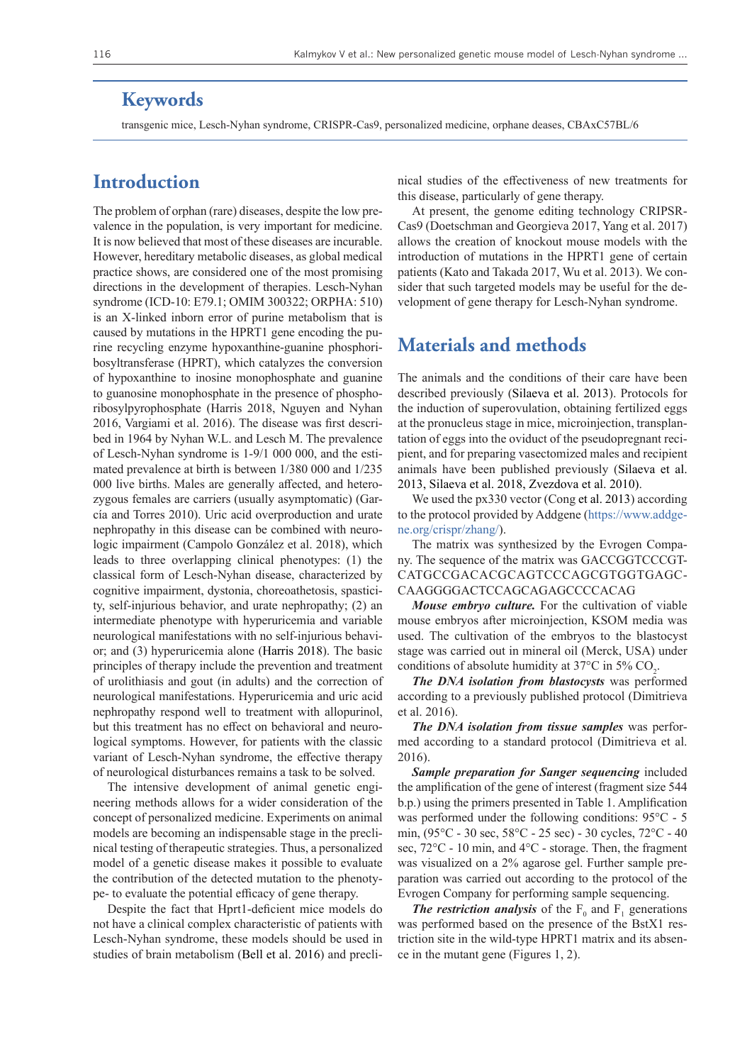### **Keywords**

transgenic mice, Lesch-Nyhan syndrome, CRISPR-Cas9, personalized medicine, orphane deases, CBAxC57BL/6

### **Introduction**

The problem of orphan (rare) diseases, despite the low prevalence in the population, is very important for medicine. It is now believed that most of these diseases are incurable. However, hereditary metabolic diseases, as global medical practice shows, are considered one of the most promising directions in the development of therapies. Lesch-Nyhan syndrome (ICD-10: E79.1; OMIM 300322; ORPHA: 510) is an X-linked inborn error of purine metabolism that is caused by mutations in the HPRT1 gene encoding the purine recycling enzyme hypoxanthine-guanine phosphoribosyltransferase (HPRT), which catalyzes the conversion of hypoxanthine to inosine monophosphate and guanine to guanosine monophosphate in the presence of phosphoribosylpyrophosphate (Harris 2018, Nguyen and Nyhan 2016, Vargiami et al. 2016). The disease was first described in 1964 by Nyhan W.L. and Lesch M. The prevalence of Lesch-Nyhan syndrome is 1-9/1 000 000, and the estimated prevalence at birth is between 1/380 000 and 1/235 000 live births. Males are generally affected, and heterozygous females are carriers (usually asymptomatic) (García and Torres 2010). Uric acid overproduction and urate nephropathy in this disease can be combined with neurologic impairment (Campolo González et al. 2018), which leads to three overlapping clinical phenotypes: (1) the classical form of Lesch-Nyhan disease, characterized by cognitive impairment, dystonia, choreoathetosis, spasticity, self-injurious behavior, and urate nephropathy; (2) an intermediate phenotype with hyperuricemia and variable neurological manifestations with no self-injurious behavior; and (3) hyperuricemia alone (Harris 2018). The basic principles of therapy include the prevention and treatment of urolithiasis and gout (in adults) and the correction of neurological manifestations. Hyperuricemia and uric acid nephropathy respond well to treatment with allopurinol, but this treatment has no effect on behavioral and neurological symptoms. However, for patients with the classic variant of Lesch-Nyhan syndrome, the effective therapy of neurological disturbances remains a task to be solved.

The intensive development of animal genetic engineering methods allows for a wider consideration of the concept of personalized medicine. Experiments on animal models are becoming an indispensable stage in the preclinical testing of therapeutic strategies. Thus, a personalized model of a genetic disease makes it possible to evaluate the contribution of the detected mutation to the phenotype- to evaluate the potential efficacy of gene therapy.

Despite the fact that Hprt1-deficient mice models do not have a clinical complex characteristic of patients with Lesch-Nyhan syndrome, these models should be used in studies of brain metabolism (Bell et al. 2016) and preclinical studies of the effectiveness of new treatments for this disease, particularly of gene therapy.

At present, the genome editing technology CRIPSR-Cas9 (Doetschman and Georgieva 2017, Yang et al. 2017) allows the creation of knockout mouse models with the introduction of mutations in the HPRT1 gene of certain patients (Kato and Takada 2017, Wu et al. 2013). We consider that such targeted models may be useful for the development of gene therapy for Lesch-Nyhan syndrome.

### **Materials and methods**

The animals and the conditions of their care have been described previously (Silaeva et al. 2013). Protocols for the induction of superovulation, obtaining fertilized eggs at the pronucleus stage in mice, microinjection, transplantation of eggs into the oviduct of the pseudopregnant recipient, and for preparing vasectomized males and recipient animals have been published previously (Silaeva et al. 2013, Silaeva et al. 2018, Zvezdova et al. 2010).

We used the px330 vector (Cong et al. 2013) according to the protocol provided by Addgene ([https://www.addge](https://www.addgene.org/crispr/zhang/)[ne.org/crispr/zhang/](https://www.addgene.org/crispr/zhang/)).

The matrix was synthesized by the Evrogen Company. The sequence of the matrix was GACCGGTCCCGT-CATGCCGACACGCAGTCCCAGCGTGGTGAGC-CAAGGGGACTCCAGCAGAGCCCCACAG

*Mouse embryo culture.* For the cultivation of viable mouse embryos after microinjection, KSOM media was used. The cultivation of the embryos to the blastocyst stage was carried out in mineral oil (Merck, USA) under conditions of absolute humidity at 37 $\rm ^{o}C$  in 5% CO<sub>2</sub>.

*The DNA isolation from blastocysts* was performed according to a previously published protocol (Dimitrieva et al. 2016).

*The DNA isolation from tissue samples* was performed according to a standard protocol (Dimitrieva et al. 2016).

*Sample preparation for Sanger sequencing* included the amplification of the gene of interest (fragment size 544 b.p.) using the primers presented in Table 1. Amplification was performed under the following conditions: 95°C - 5 min, (95°C - 30 sec, 58°C - 25 sec) - 30 cycles, 72°C - 40 sec, 72°C - 10 min, and 4°C - storage. Then, the fragment was visualized on a 2% agarose gel. Further sample preparation was carried out according to the protocol of the Evrogen Company for performing sample sequencing.

**The restriction analysis** of the  $F_0$  and  $F_1$  generations was performed based on the presence of the BstX1 restriction site in the wild-type HPRT1 matrix and its absence in the mutant gene (Figures 1, 2).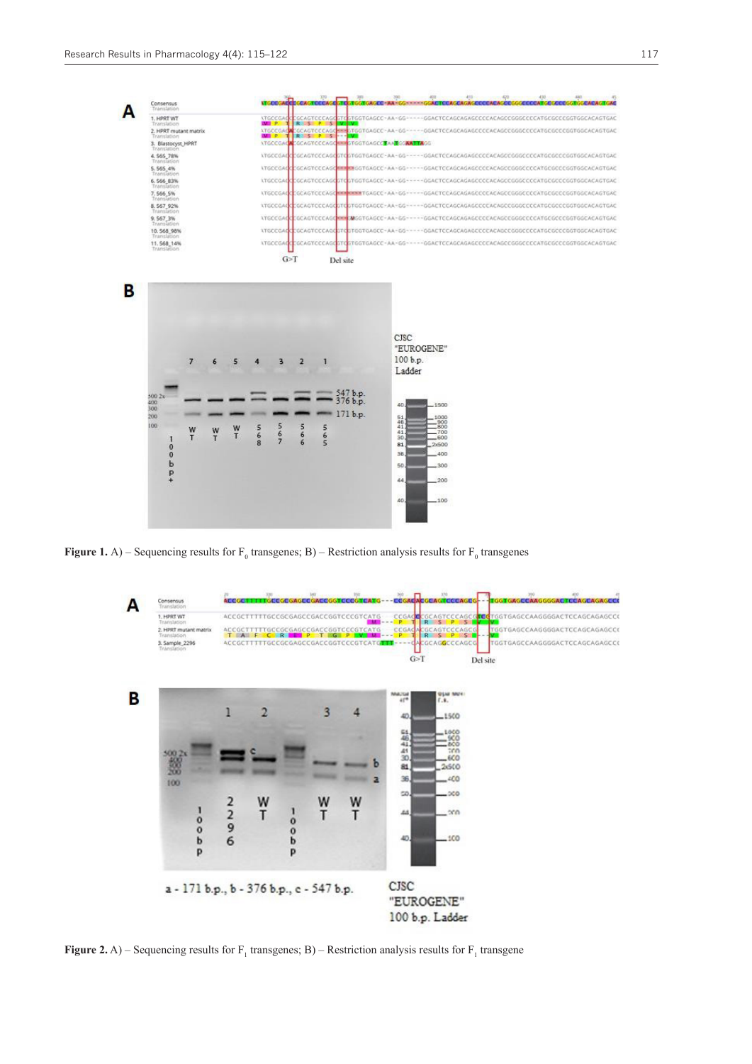

**Figure 1.** A) – Sequencing results for  $F_0$  transgenes; B) – Restriction analysis results for  $F_0$  transgenes



**Figure 2.** A) – Sequencing results for  $F_1$  transgenes; B) – Restriction analysis results for  $F_1$  transgene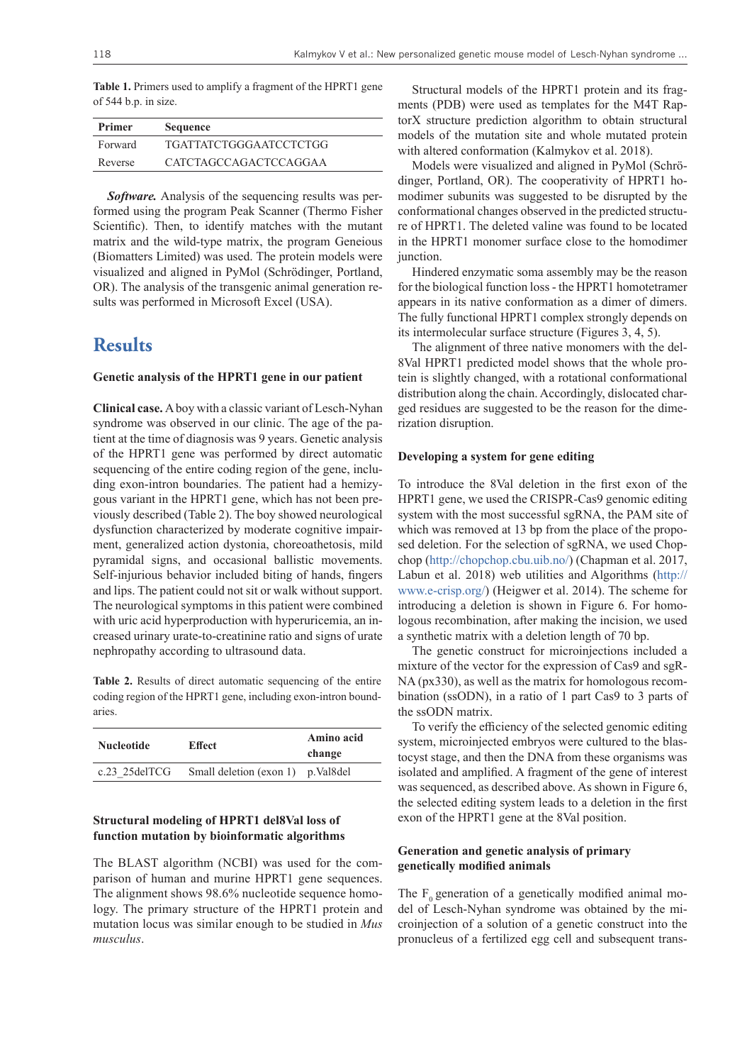**Table 1.** Primers used to amplify a fragment of the HPRT1 gene of 544 b.p. in size.

| <b>Primer</b> | <b>Sequence</b>         |
|---------------|-------------------------|
| Forward       | TGATTATCTGGGA ATCCTCTGG |
| Reverse       | CATCTAGCCAGACTCCAGGAA   |

*Software.* Analysis of the sequencing results was performed using the program Peak Scanner (Thermo Fisher Scientific). Then, to identify matches with the mutant matrix and the wild-type matrix, the program Geneious (Biomatters Limited) was used. The protein models were visualized and aligned in PyMol (Schrödinger, Portland, OR). The analysis of the transgenic animal generation results was performed in Microsoft Excel (USA).

### **Results**

#### **Genetic analysis of the HPRT1 gene in our patient**

**Clinical case.** A boy with a classic variant of Lesch-Nyhan syndrome was observed in our clinic. The age of the patient at the time of diagnosis was 9 years. Genetic analysis of the HPRT1 gene was performed by direct automatic sequencing of the entire coding region of the gene, including exon-intron boundaries. The patient had a hemizygous variant in the HPRT1 gene, which has not been previously described (Table 2). The boy showed neurological dysfunction characterized by moderate cognitive impairment, generalized action dystonia, choreoathetosis, mild pyramidal signs, and occasional ballistic movements. Self-injurious behavior included biting of hands, fingers and lips. The patient could not sit or walk without support. The neurological symptoms in this patient were combined with uric acid hyperproduction with hyperuricemia, an increased urinary urate-to-creatinine ratio and signs of urate nephropathy according to ultrasound data.

**Table 2.** Results of direct automatic sequencing of the entire coding region of the HPRT1 gene, including exon-intron boundaries.

| <b>Nucleotide</b> | <b>Effect</b>                     | Amino acid<br>change |
|-------------------|-----------------------------------|----------------------|
| $c.23$ 25delTCG   | Small deletion (exon 1) p.Val8del |                      |

#### **Structural modeling of HPRT1 del8Val loss of function mutation by bioinformatic algorithms**

The BLAST algorithm (NCBI) was used for the comparison of human and murine HPRT1 gene sequences. The alignment shows 98.6% nucleotide sequence homology. The primary structure of the HPRT1 protein and mutation locus was similar enough to be studied in *Mus musculus*.

Structural models of the HPRT1 protein and its fragments (PDB) were used as templates for the M4T RaptorX structure prediction algorithm to obtain structural models of the mutation site and whole mutated protein with altered conformation (Kalmykov et al. 2018).

Models were visualized and aligned in PyMol (Schrödinger, Portland, OR). The cooperativity of HPRT1 homodimer subunits was suggested to be disrupted by the conformational changes observed in the predicted structure of HPRT1. The deleted valine was found to be located in the HPRT1 monomer surface close to the homodimer junction.

Hindered enzymatic soma assembly may be the reason for the biological function loss - the HPRT1 homotetramer appears in its native conformation as a dimer of dimers. The fully functional HPRT1 complex strongly depends on its intermolecular surface structure (Figures 3, 4, 5).

The alignment of three native monomers with the del-8Val HPRT1 predicted model shows that the whole protein is slightly changed, with a rotational conformational distribution along the chain. Accordingly, dislocated charged residues are suggested to be the reason for the dimerization disruption.

#### **Developing a system for gene editing**

To introduce the 8Val deletion in the first exon of the HPRT1 gene, we used the CRISPR-Cas9 genomic editing system with the most successful sgRNA, the PAM site of which was removed at 13 bp from the place of the proposed deletion. For the selection of sgRNA, we used Chopchop [\(http://chopchop.cbu.uib.no/](http://chopchop.cbu.uib.no/)) (Chapman et al. 2017, Labun et al. 2018) web utilities and Algorithms [\(http://](http://www.e-crisp.org/) [www.e-crisp.org/](http://www.e-crisp.org/)) (Heigwer et al. 2014). The scheme for introducing a deletion is shown in Figure 6. For homologous recombination, after making the incision, we used a synthetic matrix with a deletion length of 70 bp.

The genetic construct for microinjections included a mixture of the vector for the expression of Cas9 and sgR-NA (px330), as well as the matrix for homologous recombination (ssODN), in a ratio of 1 part Cas9 to 3 parts of the ssODN matrix.

To verify the efficiency of the selected genomic editing system, microinjected embryos were cultured to the blastocyst stage, and then the DNA from these organisms was isolated and amplified. A fragment of the gene of interest was sequenced, as described above. As shown in Figure 6, the selected editing system leads to a deletion in the first exon of the HPRT1 gene at the 8Val position.

#### **Generation and genetic analysis of primary genetically modified animals**

The  $F_0$  generation of a genetically modified animal model of Lesch-Nyhan syndrome was obtained by the microinjection of a solution of a genetic construct into the pronucleus of a fertilized egg cell and subsequent trans-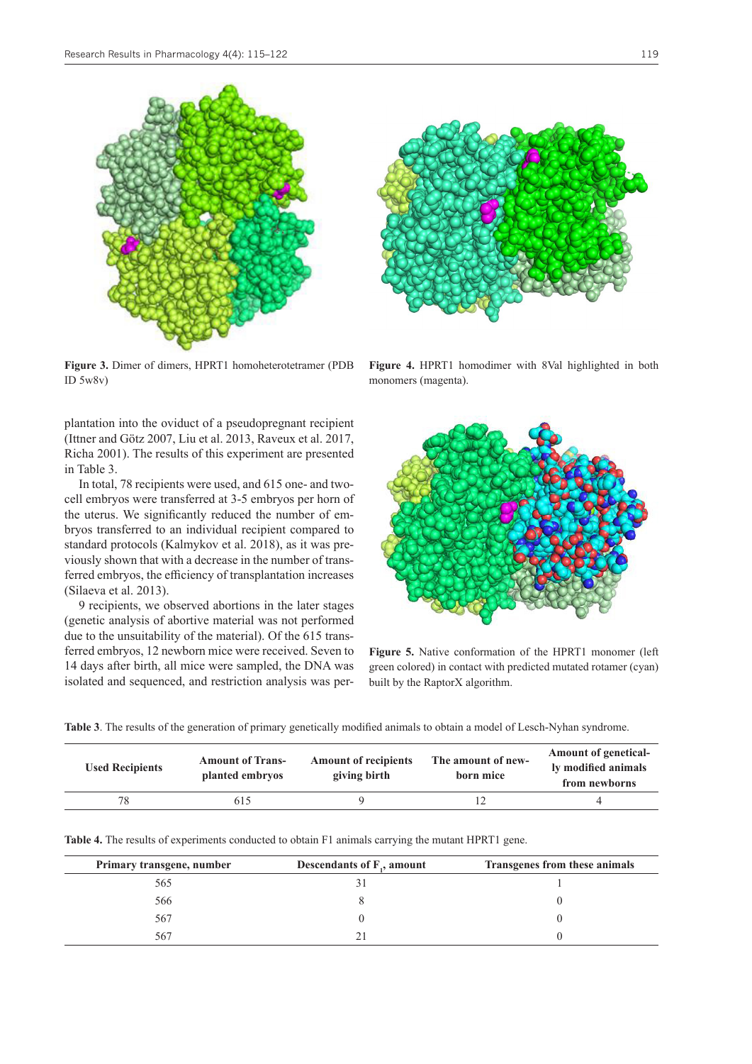

**Figure 3.** Dimer of dimers, HPRT1 homoheterotetramer (PDB ID 5w8v)

plantation into the oviduct of a pseudopregnant recipient (Ittner and Götz 2007, Liu et al. 2013, Raveux et al. 2017, Richa 2001). The results of this experiment are presented in Table 3.

In total, 78 recipients were used, and 615 one- and twocell embryos were transferred at 3-5 embryos per horn of the uterus. We significantly reduced the number of embryos transferred to an individual recipient compared to standard protocols (Kalmykov et al. 2018), as it was previously shown that with a decrease in the number of transferred embryos, the efficiency of transplantation increases (Silaeva et al. 2013).

9 recipients, we observed abortions in the later stages (genetic analysis of abortive material was not performed due to the unsuitability of the material). Of the 615 transferred embryos, 12 newborn mice were received. Seven to 14 days after birth, all mice were sampled, the DNA was isolated and sequenced, and restriction analysis was per-



**Figure 4.** HPRT1 homodimer with 8Val highlighted in both monomers (magenta).



**Figure 5.** Native conformation of the HPRT1 monomer (left green colored) in contact with predicted mutated rotamer (cyan) built by the RaptorX algorithm.

| Table 3. The results of the generation of primary genetically modified animals to obtain a model of Lesch-Nyhan syndrome. |  |
|---------------------------------------------------------------------------------------------------------------------------|--|
|                                                                                                                           |  |

| <b>Used Recipients</b> | <b>Amount of Trans-</b><br>planted embryos | <b>Amount of recipients</b><br>giving birth | The amount of new-<br>born mice | <b>Amount of genetical-</b><br>ly modified animals<br>from newborns |
|------------------------|--------------------------------------------|---------------------------------------------|---------------------------------|---------------------------------------------------------------------|
| 78                     | 615                                        |                                             |                                 |                                                                     |
|                        |                                            |                                             |                                 |                                                                     |

**Table 4.** The results of experiments conducted to obtain F1 animals carrying the mutant HPRT1 gene.

| Primary transgene, number | Descendants of $F_1$ , amount | Transgenes from these animals |
|---------------------------|-------------------------------|-------------------------------|
| 565                       |                               |                               |
| 566                       |                               |                               |
| 567                       |                               |                               |
| 567                       |                               |                               |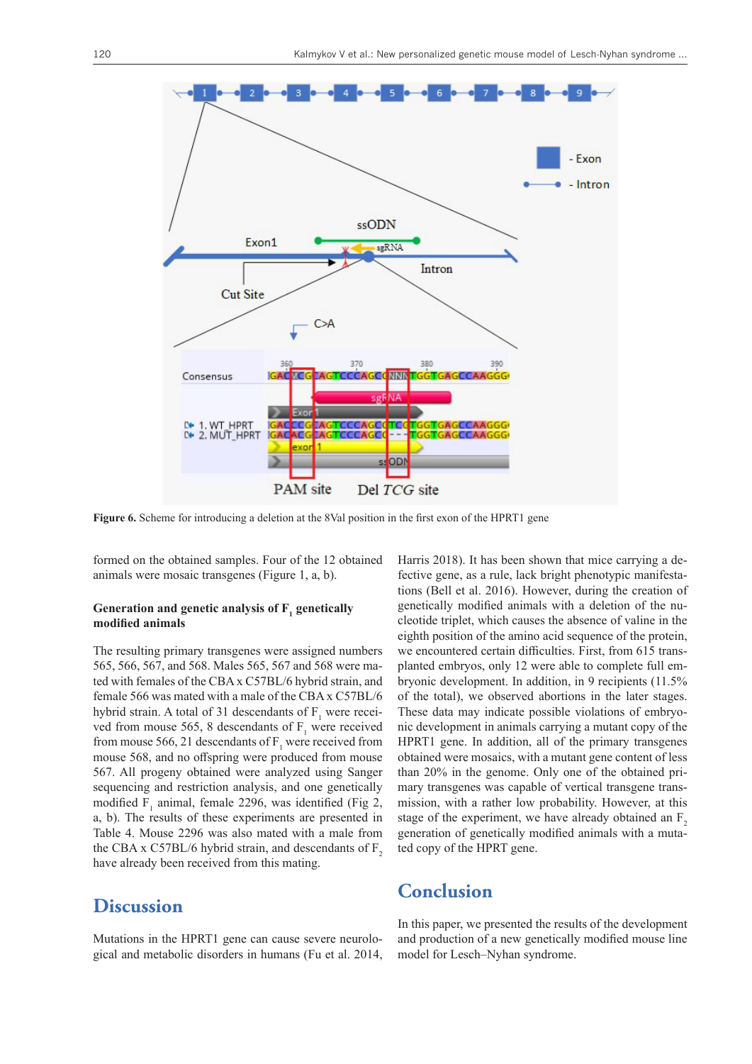

**Figure 6.** Scheme for introducing a deletion at the 8Val position in the first exon of the HPRT1 gene

formed on the obtained samples. Four of the 12 obtained animals were mosaic transgenes (Figure 1, a, b).

#### Generation and genetic analysis of  $F_1$  genetically **modified animals**

The resulting primary transgenes were assigned numbers 565, 566, 567, and 568. Males 565, 567 and 568 were mated with females of the CBA x C57BL/6 hybrid strain, and female 566 was mated with a male of the CBA x C57BL/6 hybrid strain. A total of 31 descendants of  $F_1$  were received from mouse 565, 8 descendants of  $F_1$  were received from mouse 566, 21 descendants of  $F_1$  were received from mouse 568, and no offspring were produced from mouse 567. All progeny obtained were analyzed using Sanger sequencing and restriction analysis, and one genetically modified  $F_1$  animal, female 2296, was identified (Fig 2, a, b). The results of these experiments are presented in Table 4. Mouse 2296 was also mated with a male from the CBA x C57BL/6 hybrid strain, and descendants of  $F<sub>2</sub>$ have already been received from this mating.

# **Discussion**

Mutations in the HPRT1 gene can cause severe neurological and metabolic disorders in humans (Fu et al. 2014, Harris 2018). It has been shown that mice carrying a defective gene, as a rule, lack bright phenotypic manifestations (Bell et al. 2016). However, during the creation of genetically modified animals with a deletion of the nucleotide triplet, which causes the absence of valine in the eighth position of the amino acid sequence of the protein, we encountered certain difficulties. First, from 615 transplanted embryos, only 12 were able to complete full embryonic development. In addition, in 9 recipients (11.5% of the total), we observed abortions in the later stages. These data may indicate possible violations of embryonic development in animals carrying a mutant copy of the HPRT1 gene. In addition, all of the primary transgenes obtained were mosaics, with a mutant gene content of less than 20% in the genome. Only one of the obtained primary transgenes was capable of vertical transgene transmission, with a rather low probability. However, at this stage of the experiment, we have already obtained an  $F<sub>2</sub>$ generation of genetically modified animals with a mutated copy of the HPRT gene.

### **Conclusion**

In this paper, we presented the results of the development and production of a new genetically modified mouse line model for Lesch–Nyhan syndrome.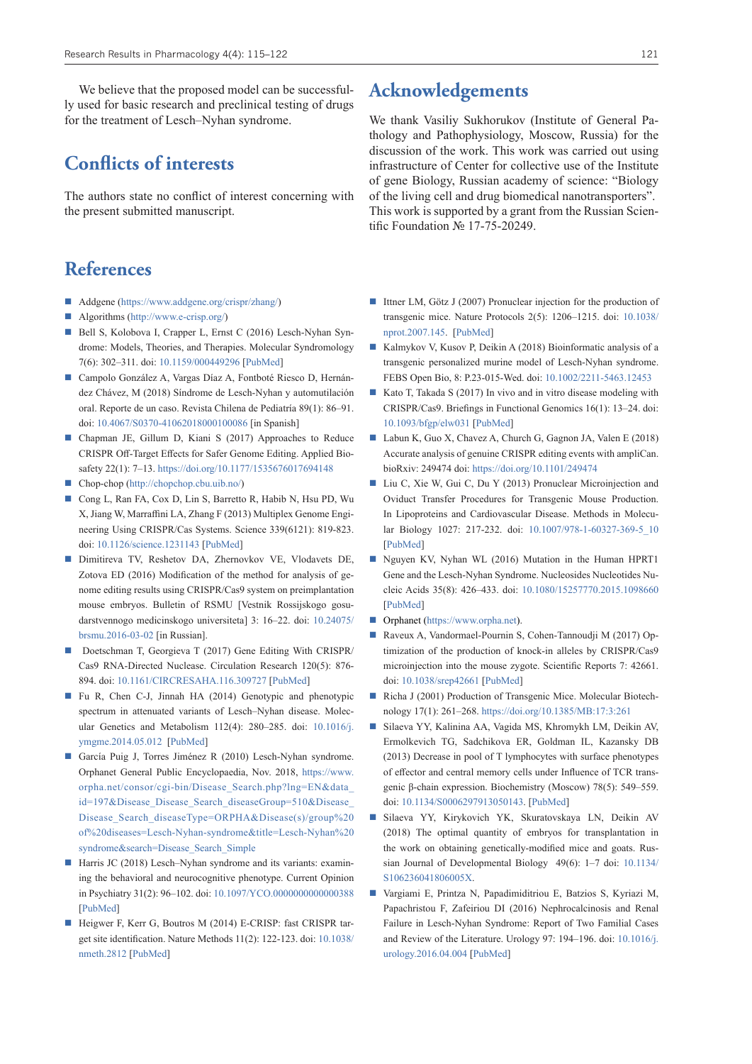We believe that the proposed model can be successfully used for basic research and preclinical testing of drugs for the treatment of Lesch–Nyhan syndrome.

# **Conflicts of interests**

The authors state no conflict of interest concerning with the present submitted manuscript.

# **References**

- Addgene (<https://www.addgene.org/crispr/zhang/>)
- Algorithms [\(http://www.e-crisp.org/\)](http://www.e-crisp.org/)
- Bell S, Kolobova I, Crapper L, Ernst C (2016) Lesch-Nyhan Syndrome: Models, Theories, and Therapies. Molecular Syndromology 7(6): 302–311. doi: [10.1159/000449296](https://doi.org/10.1159/000449296) [[PubMed\]](https://www.ncbi.nlm.nih.gov/pubmed/?term=Lesch-Nyhan+Syndrome%3A+Models%2C+Theories%2C+and+Therapies)
- Campolo González A, Vargas Díaz A, Fontboté Riesco D, Hernández Chávez, M (2018) Síndrome de Lesch-Nyhan y automutilación oral. Reporte de un caso. Revista Chilena de Pediatría 89(1): 86–91. doi: [10.4067/S0370-41062018000100086](https://doi.org/10.4067/S0370-41062018000100086) [in Spanish]
- Chapman JE, Gillum D, Kiani S (2017) Approaches to Reduce CRISPR Off-Target Effects for Safer Genome Editing. Applied Biosafety 22(1): 7–13.<https://doi.org/10.1177/1535676017694148>
- Chop-chop ([http://chopchop.cbu.uib.no/\)](http://chopchop.cbu.uib.no/)
- Cong L, Ran FA, Cox D, Lin S, Barretto R, Habib N, Hsu PD, Wu X, Jiang W, Marraffini LA, Zhang F (2013) Multiplex Genome Engineering Using CRISPR/Cas Systems. Science 339(6121): 819-823. doi: [10.1126/science.1231143](https://doi.org/10.1126/science.1231143) [[PubMed\]](https://www.ncbi.nlm.nih.gov/pubmed/23287718)
- Dimitireva TV, Reshetov DA, Zhernovkov VE, Vlodavets DE, Zotova ED (2016) Modification of the method for analysis of genome editing results using CRISPR/Cas9 system on preimplantation mouse embryos. Bulletin of RSMU [Vestnik Rossijskogo gosudarstvennogo medicinskogo universiteta] 3: 16–22. doi: [10.24075/](https://doi.org/10.24075/brsmu.2016-03-02) [brsmu.2016-03-02](https://doi.org/10.24075/brsmu.2016-03-02) [in Russian].
- Doetschman T, Georgieva T (2017) Gene Editing With CRISPR/ Cas9 RNA-Directed Nuclease. Circulation Research 120(5): 876- 894. doi: [10.1161/CIRCRESAHA.116.309727](https://doi.org/10.1161/CIRCRESAHA.116.309727) [[PubMed\]](https://www.ncbi.nlm.nih.gov/pubmed/28254804)
- Fu R, Chen C-J, Jinnah HA (2014) Genotypic and phenotypic spectrum in attenuated variants of Lesch–Nyhan disease. Molecular Genetics and Metabolism 112(4): 280–285. doi: [10.1016/j.](https://doi.org/10.1016/j.ymgme.2014.05.012) [ymgme.2014.05.012](https://doi.org/10.1016/j.ymgme.2014.05.012) [\[PubMed](https://www.ncbi.nlm.nih.gov/pubmed/24930028)]
- García Puig J, Torres Jiménez R (2010) Lesch-Nyhan syndrome. Orphanet General Public Encyclopaedia, Nov. 2018, [https://www.](https://www.orpha.net/consor/cgi-bin/Disease_Search.php?lng=EN&data_id=197&Disease_Disease_Search_diseaseGroup=510&Disease_Disease_Search_diseaseType=ORPHA&Disease(s)/group%20of%20diseases=Lesch-Nyhan-syndrome&title=Lesch-Nyhan%20syndrome&search=Disease_Search_Simple) [orpha.net/consor/cgi-bin/Disease\\_Search.php?lng=EN&data\\_](https://www.orpha.net/consor/cgi-bin/Disease_Search.php?lng=EN&data_id=197&Disease_Disease_Search_diseaseGroup=510&Disease_Disease_Search_diseaseType=ORPHA&Disease(s)/group%20of%20diseases=Lesch-Nyhan-syndrome&title=Lesch-Nyhan%20syndrome&search=Disease_Search_Simple) id=197&Disease\_Disease\_Search\_diseaseGroup=510&Disease [Disease\\_Search\\_diseaseType=ORPHA&Disease\(s\)/group%20](https://www.orpha.net/consor/cgi-bin/Disease_Search.php?lng=EN&data_id=197&Disease_Disease_Search_diseaseGroup=510&Disease_Disease_Search_diseaseType=ORPHA&Disease(s)/group%20of%20diseases=Lesch-Nyhan-syndrome&title=Lesch-Nyhan%20syndrome&search=Disease_Search_Simple) [of%20diseases=Lesch-Nyhan-syndrome&title=Lesch-Nyhan%20](https://www.orpha.net/consor/cgi-bin/Disease_Search.php?lng=EN&data_id=197&Disease_Disease_Search_diseaseGroup=510&Disease_Disease_Search_diseaseType=ORPHA&Disease(s)/group%20of%20diseases=Lesch-Nyhan-syndrome&title=Lesch-Nyhan%20syndrome&search=Disease_Search_Simple) [syndrome&search=Disease\\_Search\\_Simple](https://www.orpha.net/consor/cgi-bin/Disease_Search.php?lng=EN&data_id=197&Disease_Disease_Search_diseaseGroup=510&Disease_Disease_Search_diseaseType=ORPHA&Disease(s)/group%20of%20diseases=Lesch-Nyhan-syndrome&title=Lesch-Nyhan%20syndrome&search=Disease_Search_Simple)
- Harris JC (2018) Lesch–Nyhan syndrome and its variants: examining the behavioral and neurocognitive phenotype. Current Opinion in Psychiatry 31(2): 96–102. doi: [10.1097/YCO.0000000000000388](https://doi.org/10.1097/YCO.0000000000000388) [\[PubMed](https://www.ncbi.nlm.nih.gov/pubmed/?term=Lesch�Nyhan+syndrome+and+its+variants%3A+examining+the+behavioral+and+neurocognitive+phenotype)]
- Heigwer F, Kerr G, Boutros M (2014) E-CRISP: fast CRISPR target site identification. Nature Methods 11(2): 122-123. doi: [10.1038/](https://doi.org/10.1038/nmeth.2812) [nmeth.2812](https://doi.org/10.1038/nmeth.2812) [\[PubMed](http://www.ncbi.nlm.nih.gov/pubmed/24481216)]

# **Acknowledgements**

We thank Vasiliy Sukhorukov (Institute of General Pathology and Pathophysiology, Moscow, Russia) for the discussion of the work. This work was carried out using infrastructure of Center for collective use of the Institute of gene Biology, Russian academy of science: "Biology of the living cell and drug biomedical nanotransporters". This work is supported by a grant from the Russian Scientific Foundation № 17-75-20249.

- Ittner LM, Götz J (2007) Pronuclear injection for the production of transgenic mice. Nature Protocols 2(5): 1206–1215. doi: [10.1038/](https://doi.org/10.1038/nprot.2007.145) [nprot.2007.145.](https://doi.org/10.1038/nprot.2007.145) [\[PubMed](https://www.ncbi.nlm.nih.gov/pubmed/17546016)]
- Kalmykov V, Kusov P, Deikin A (2018) Bioinformatic analysis of a transgenic personalized murine model of Lesch-Nyhan syndrome. FEBS Open Bio, 8: P.23-015-Wed. doi: [10.1002/2211-5463.12453](https://doi.org/10.1002/2211-5463.12453)
- Kato T, Takada S (2017) In vivo and in vitro disease modeling with CRISPR/Cas9. Briefings in Functional Genomics 16(1): 13–24. doi: [10.1093/bfgp/elw031](https://doi.org/10.1093/bfgp/elw031) [[PubMed](https://www.ncbi.nlm.nih.gov/pubmed/27497066)]
- Labun K, Guo X, Chavez A, Church G, Gagnon JA, Valen E (2018) Accurate analysis of genuine CRISPR editing events with ampliCan. bioRxiv: 249474 doi:<https://doi.org/10.1101/249474>
- Liu C, Xie W, Gui C, Du Y (2013) Pronuclear Microinjection and Oviduct Transfer Procedures for Transgenic Mouse Production. In Lipoproteins and Cardiovascular Disease. Methods in Molecular Biology 1027: 217-232. doi: [10.1007/978-1-60327-369-5\\_10](https://doi.org/10.1007/978-1-60327-369-5_10) [\[PubMed](https://www.ncbi.nlm.nih.gov/pubmed/23912989)]
- Nguyen KV, Nyhan WL (2016) Mutation in the Human HPRT1 Gene and the Lesch-Nyhan Syndrome. Nucleosides Nucleotides Nucleic Acids 35(8): 426–433. doi: [10.1080/15257770.2015.1098660](https://doi.org/10.1080/15257770.2015.1098660) [\[PubMed](https://www.ncbi.nlm.nih.gov/pubmed/27379977)]
- Orphanet [\(https://www.orpha.net](https://www.orpha.net)).
- Raveux A, Vandormael-Pournin S, Cohen-Tannoudji M (2017) Optimization of the production of knock-in alleles by CRISPR/Cas9 microinjection into the mouse zygote. Scientific Reports 7: 42661. doi: [10.1038/srep42661](https://doi.org/10.1038/srep42661) [\[PubMed](https://www.ncbi.nlm.nih.gov/pubmed/?term=Optimization+of+the+production+of+knock-in+alleles+by+CRISPR%2FCas9+microinjection+into+the+mouse+zygote)]
- Richa J (2001) Production of Transgenic Mice. Molecular Biotechnology 17(1): 261–268.<https://doi.org/10.1385/MB:17:3:261>
- Silaeva YY, Kalinina AA, Vagida MS, Khromykh LM, Deikin AV, Ermolkevich TG, Sadchikova ER, Goldman IL, Kazansky DB (2013) Decrease in pool of T lymphocytes with surface phenotypes of effector and central memory cells under Influence of TCR transgenic β-chain expression. Biochemistry (Moscow) 78(5): 549–559. doi: [10.1134/S0006297913050143](https://doi.org/10.1134/S0006297913050143). [\[PubMed](https://www.ncbi.nlm.nih.gov/pubmed/?term=Decrease+in+pool+of+T+lymphocytes+with+surface+phenotypes+of+effector+and+central)]
- Silaeva YY, Kirykovich YK, Skuratovskaya LN, Deikin AV (2018) The optimal quantity of embryos for transplantation in the work on obtaining genetically-modified mice and goats. Russian Journal of Developmental Biology 49(6): 1–7 doi: [10.1134/](https://doi.org/10.1134/S106236041806005X) [S106236041806005X.](https://doi.org/10.1134/S106236041806005X)
- Vargiami E, Printza N, Papadimiditriou E, Batzios S, Kyriazi M, Papachristou F, Zafeiriou DI (2016) Nephrocalcinosis and Renal Failure in Lesch-Nyhan Syndrome: Report of Two Familial Cases and Review of the Literature. Urology 97: 194–196. doi: [10.1016/j.](https://doi.org/10.1016/j.urology.2016.04.004) [urology.2016.04.004](https://doi.org/10.1016/j.urology.2016.04.004) [[PubMed\]](https://www.ncbi.nlm.nih.gov/pubmed/?term=Nephrocalcinosis+and+Renal+Failure+in+Lesch-Nyhan+Syndrome%3A+Report+of+Two+Familial+Cases+and+Review+of+the+Literature)